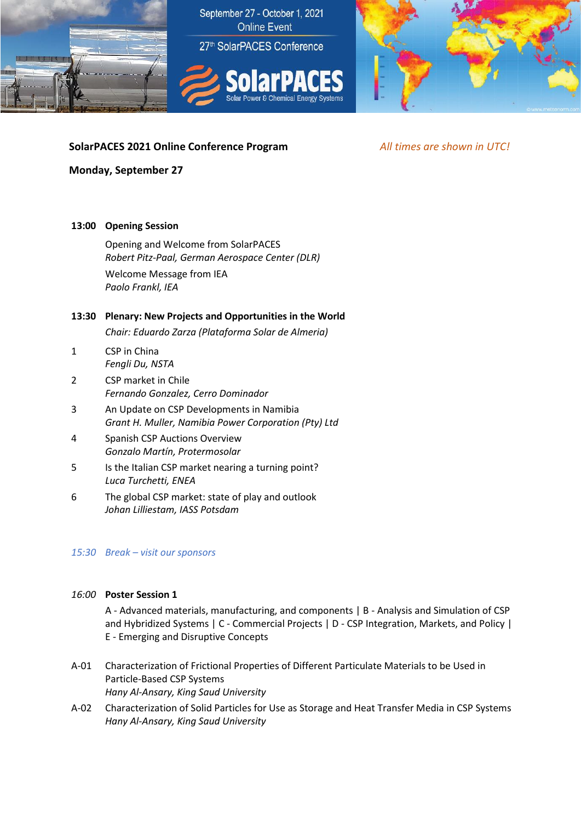



# **SolarPACES 2021 Online Conference Program** *All times are shown in UTC!*

### **Monday, September 27**

#### **13:00 Opening Session**

Opening and Welcome from SolarPACES *Robert Pitz-Paal, German Aerospace Center (DLR)* Welcome Message from IEA *Paolo Frankl, IEA*

## **13:30 Plenary: New Projects and Opportunities in the World**

*Chair: Eduardo Zarza (Plataforma Solar de Almeria)*

- 1 CSP in China *Fengli Du, NSTA*
- 2 CSP market in Chile *Fernando Gonzalez, Cerro Dominador*
- 3 An Update on CSP Developments in Namibia *Grant H. Muller, Namibia Power Corporation (Pty) Ltd*
- 4 Spanish CSP Auctions Overview *Gonzalo Martín, Protermosolar*
- 5 Is the Italian CSP market nearing a turning point? *Luca Turchetti, ENEA*
- 6 The global CSP market: state of play and outlook *Johan Lilliestam, IASS Potsdam*

#### *15:30 Break – visit our sponsors*

## *16:00* **Poster Session 1**

A - Advanced materials, manufacturing, and components | B - Analysis and Simulation of CSP and Hybridized Systems | C - Commercial Projects | D - CSP Integration, Markets, and Policy | E - Emerging and Disruptive Concepts

- A-01 Characterization of Frictional Properties of Different Particulate Materials to be Used in Particle-Based CSP Systems *Hany Al-Ansary, King Saud University*
- A-02 Characterization of Solid Particles for Use as Storage and Heat Transfer Media in CSP Systems *Hany Al-Ansary, King Saud University*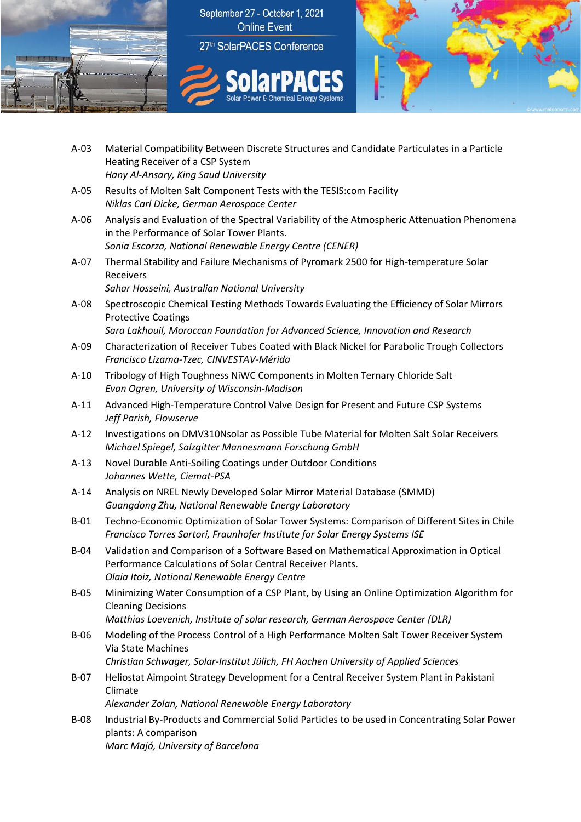



- A-03 Material Compatibility Between Discrete Structures and Candidate Particulates in a Particle Heating Receiver of a CSP System *Hany Al-Ansary, King Saud University*
- A-05 Results of Molten Salt Component Tests with the TESIS:com Facility *Niklas Carl Dicke, German Aerospace Center*
- A-06 Analysis and Evaluation of the Spectral Variability of the Atmospheric Attenuation Phenomena in the Performance of Solar Tower Plants. *Sonia Escorza, National Renewable Energy Centre (CENER)*
- A-07 Thermal Stability and Failure Mechanisms of Pyromark 2500 for High-temperature Solar Receivers *Sahar Hosseini, Australian National University*
- A-08 Spectroscopic Chemical Testing Methods Towards Evaluating the Efficiency of Solar Mirrors Protective Coatings *Sara Lakhouil, Moroccan Foundation for Advanced Science, Innovation and Research*
- A-09 Characterization of Receiver Tubes Coated with Black Nickel for Parabolic Trough Collectors *Francisco Lizama-Tzec, CINVESTAV-Mérida*
- A-10 Tribology of High Toughness NiWC Components in Molten Ternary Chloride Salt *Evan Ogren, University of Wisconsin-Madison*
- A-11 Advanced High-Temperature Control Valve Design for Present and Future CSP Systems *Jeff Parish, Flowserve*
- A-12 Investigations on DMV310Nsolar as Possible Tube Material for Molten Salt Solar Receivers *Michael Spiegel, Salzgitter Mannesmann Forschung GmbH*
- A-13 Novel Durable Anti-Soiling Coatings under Outdoor Conditions *Johannes Wette, Ciemat-PSA*
- A-14 Analysis on NREL Newly Developed Solar Mirror Material Database (SMMD) *Guangdong Zhu, National Renewable Energy Laboratory*
- B-01 Techno-Economic Optimization of Solar Tower Systems: Comparison of Different Sites in Chile *Francisco Torres Sartori, Fraunhofer Institute for Solar Energy Systems ISE*
- B-04 Validation and Comparison of a Software Based on Mathematical Approximation in Optical Performance Calculations of Solar Central Receiver Plants. *Olaia Itoiz, National Renewable Energy Centre*
- B-05 Minimizing Water Consumption of a CSP Plant, by Using an Online Optimization Algorithm for Cleaning Decisions
	- *Matthias Loevenich, Institute of solar research, German Aerospace Center (DLR)*
- B-06 Modeling of the Process Control of a High Performance Molten Salt Tower Receiver System Via State Machines *Christian Schwager, Solar-Institut Jülich, FH Aachen University of Applied Sciences*
- B-07 Heliostat Aimpoint Strategy Development for a Central Receiver System Plant in Pakistani Climate

*Alexander Zolan, National Renewable Energy Laboratory*

B-08 Industrial By-Products and Commercial Solid Particles to be used in Concentrating Solar Power plants: A comparison *Marc Majó, University of Barcelona*